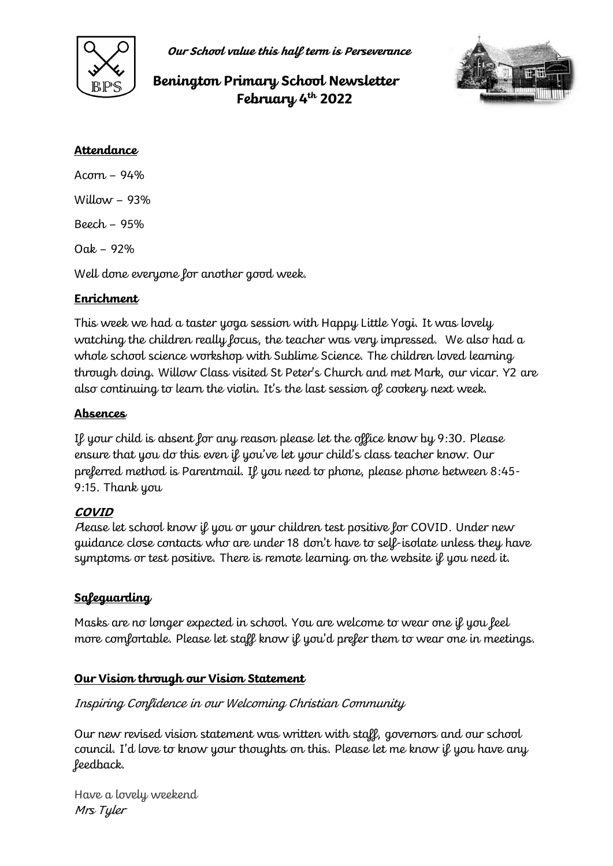

**Our School value this half term is Perseverance**

# **Benington Primary School Newsletter February 4th 2022**



## **Attendance**

Acorn – 94% Willow  $-93%$ Beech – 95%  $Oak - 92%$ Well done everyone for another good week.

# **Enrichment**

This week we had a taster yoga session with Happy Little Yogi. It was lovely watching the children really focus, the teacher was very impressed. We also had a whole school science workshop with Sublime Science. The children loved learning through doing. Willow Class visited St Peter's Church and met Mark, our vicar. Y2 are also continuing to learn the violin. It's the last session of cookery next week.

## **Absences**

If your child is absent for any reason please let the office know by 9:30. Please ensure that you do this even if you've let your child's class teacher know. Our preferred method is Parentmail. If you need to phone, please phone between 8:45- 9:15. Thank you

#### **COVID**

Please let school know if you or your children test positive for COVID. Under new guidance close contacts who are under 18 don't have to self-isolate unless they have symptoms or test positive. There is remote learning on the website if you need it.

# **Safeguarding**

Masks are no longer expected in school. You are welcome to wear one if you feel more comfortable. Please let staff know if you'd prefer them to wear one in meetings.

#### **Our Vision through our Vision Statement**

#### Inspiring Confidence in our Welcoming Christian Community

Our new revised vision statement was written with staff, governors and our school council. I'd love to know your thoughts on this. Please let me know if you have any feedback.

Have a lovely weekend Mrs Tyler